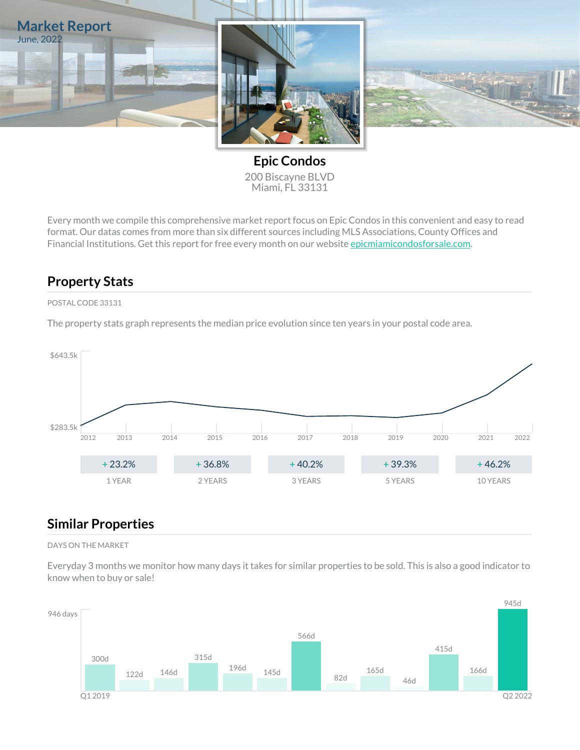

**Epic Condos** 200 Biscayne BLVD Miami, FL 33131

Every month we compile this comprehensive market report focus on Epic Condos in this convenient and easy to read format. Our datas comes from more than six different sources including MLS Associations, County Offices and Financial Institutions. Get this report for free every month on our website [epicmiamicondosforsale.com.](https://epicmiamicondosforsale.com)

### **Property Stats**

#### POSTAL CODE 33131

The property stats graph represents the median price evolution since ten years in your postal code area.



### **Similar Properties**

#### DAYS ON THE MARKET

Everyday 3 months we monitor how many days it takes for similar properties to be sold. This is also a good indicator to know when to buy or sale!

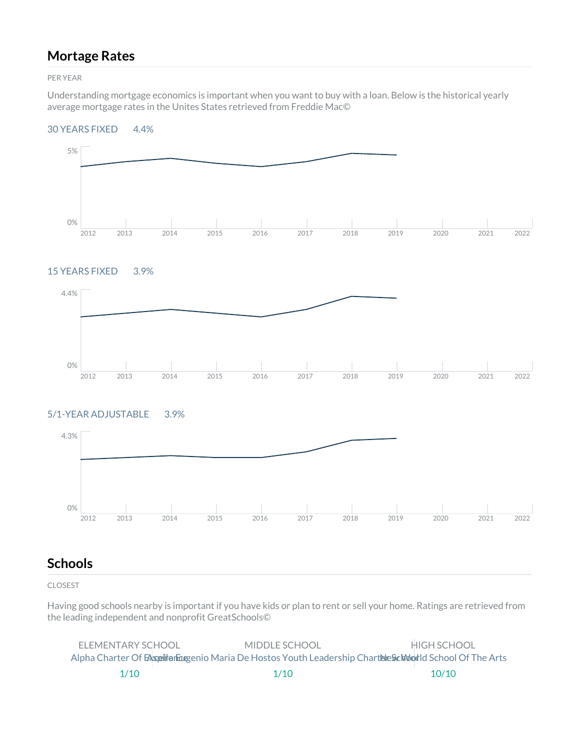### **Mortage Rates**

PER YEAR

Understanding mortgage economics is important when you want to buy with a loan. Below is the historical yearly average mortgage rates in the Unites States retrieved from Freddie Mac©

#### 30 YEARS FIXED 4.4%



#### 15 YEARS FIXED 3.9%



### 5/1-YEAR ADJUSTABLE 3.9%



### **Schools**

CLOSEST

Having good schools nearby is important if you have kids or plan to rent or sell your home. Ratings are retrieved from the leading independent and nonprofit GreatSchools©

| FLEMENTARY SCHOOL | MIDDLE SCHOOL                                                                                       | HIGH SCHOOL |
|-------------------|-----------------------------------------------------------------------------------------------------|-------------|
|                   | Alpha Charter Of Exspelliter Equation Maria De Hostos Youth Leadership Chartelle School Of The Arts |             |
| 1/10              | 1/10                                                                                                | 10/10       |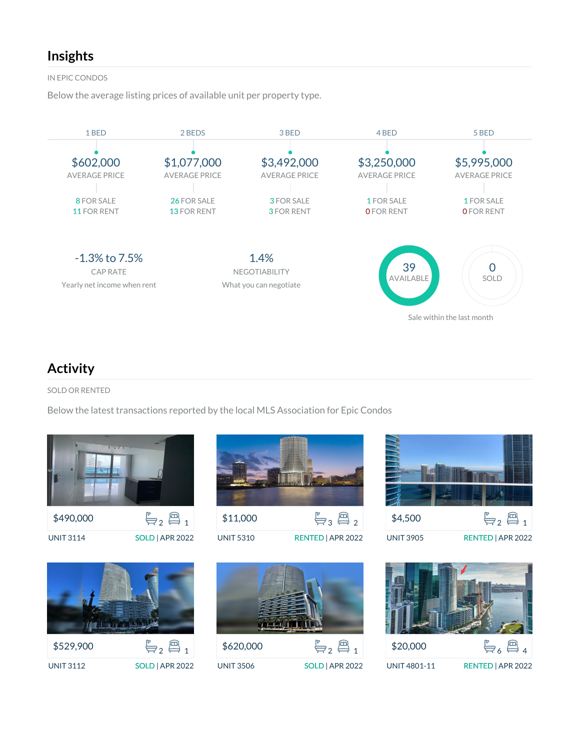## **Insights**

IN EPIC CONDOS

Below the average listing prices of available unit per property type.



## **Activity**

SOLD OR RENTED

Below the latest transactions reported by the local MLS Association for Epic Condos

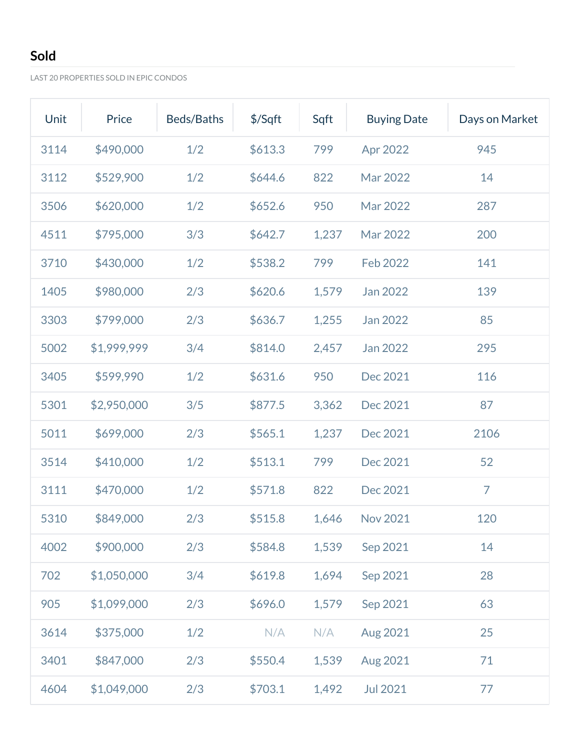## **Sold**

LAST 20 PROPERTIES SOLD IN EPIC CONDOS

| Unit | Price       | Beds/Baths | $$$ /Sqft | Sqft  | <b>Buying Date</b> | Days on Market |
|------|-------------|------------|-----------|-------|--------------------|----------------|
| 3114 | \$490,000   | 1/2        | \$613.3   | 799   | Apr 2022           | 945            |
| 3112 | \$529,900   | 1/2        | \$644.6   | 822   | Mar 2022           | 14             |
| 3506 | \$620,000   | 1/2        | \$652.6   | 950   | Mar 2022           | 287            |
| 4511 | \$795,000   | 3/3        | \$642.7   | 1,237 | Mar 2022           | 200            |
| 3710 | \$430,000   | 1/2        | \$538.2   | 799   | Feb 2022           | 141            |
| 1405 | \$980,000   | 2/3        | \$620.6   | 1,579 | Jan 2022           | 139            |
| 3303 | \$799,000   | 2/3        | \$636.7   | 1,255 | Jan 2022           | 85             |
| 5002 | \$1,999,999 | 3/4        | \$814.0   | 2,457 | Jan 2022           | 295            |
| 3405 | \$599,990   | 1/2        | \$631.6   | 950   | Dec 2021           | 116            |
| 5301 | \$2,950,000 | 3/5        | \$877.5   | 3,362 | Dec 2021           | 87             |
| 5011 | \$699,000   | 2/3        | \$565.1   | 1,237 | Dec 2021           | 2106           |
| 3514 | \$410,000   | 1/2        | \$513.1   | 799   | Dec 2021           | 52             |
| 3111 | \$470,000   | 1/2        | \$571.8   | 822   | Dec 2021           | $\overline{7}$ |
| 5310 | \$849,000   | 2/3        | \$515.8   | 1,646 | Nov 2021           | 120            |
| 4002 | \$900,000   | 2/3        | \$584.8   | 1,539 | Sep 2021           | 14             |
| 702  | \$1,050,000 | 3/4        | \$619.8   | 1,694 | Sep 2021           | 28             |
| 905  | \$1,099,000 | 2/3        | \$696.0   | 1,579 | Sep 2021           | 63             |
| 3614 | \$375,000   | 1/2        | N/A       | N/A   | Aug 2021           | 25             |
| 3401 | \$847,000   | 2/3        | \$550.4   | 1,539 | Aug 2021           | 71             |
| 4604 | \$1,049,000 | 2/3        | \$703.1   | 1,492 | <b>Jul 2021</b>    | 77             |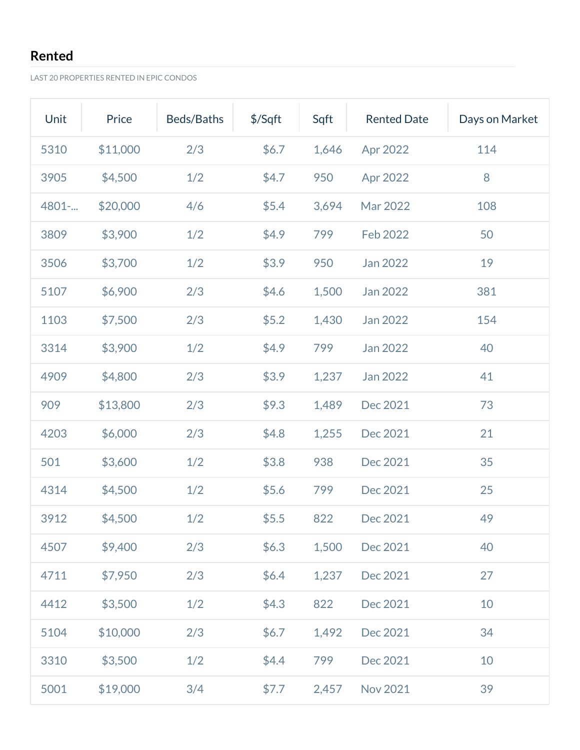## **Rented**

LAST 20 PROPERTIES RENTED IN EPIC CONDOS

| Unit  | Price    | Beds/Baths | $$$ /Sqft | Sqft  | <b>Rented Date</b> | Days on Market |
|-------|----------|------------|-----------|-------|--------------------|----------------|
| 5310  | \$11,000 | 2/3        | \$6.7     | 1,646 | Apr 2022           | 114            |
| 3905  | \$4,500  | 1/2        | \$4.7     | 950   | Apr 2022           | 8              |
| 4801- | \$20,000 | 4/6        | \$5.4     | 3,694 | Mar 2022           | 108            |
| 3809  | \$3,900  | 1/2        | \$4.9     | 799   | <b>Feb 2022</b>    | 50             |
| 3506  | \$3,700  | 1/2        | \$3.9     | 950   | Jan 2022           | 19             |
| 5107  | \$6,900  | 2/3        | \$4.6     | 1,500 | Jan 2022           | 381            |
| 1103  | \$7,500  | 2/3        | \$5.2     | 1,430 | Jan 2022           | 154            |
| 3314  | \$3,900  | 1/2        | \$4.9     | 799   | Jan 2022           | 40             |
| 4909  | \$4,800  | 2/3        | \$3.9     | 1,237 | Jan 2022           | 41             |
| 909   | \$13,800 | 2/3        | \$9.3     | 1,489 | Dec 2021           | 73             |
| 4203  | \$6,000  | 2/3        | \$4.8     | 1,255 | Dec 2021           | 21             |
| 501   | \$3,600  | 1/2        | \$3.8     | 938   | Dec 2021           | 35             |
| 4314  | \$4,500  | 1/2        | \$5.6     | 799   | Dec 2021           | 25             |
| 3912  | \$4,500  | 1/2        | \$5.5     | 822   | Dec 2021           | 49             |
| 4507  | \$9,400  | 2/3        | \$6.3\$   | 1,500 | Dec 2021           | 40             |
| 4711  | \$7,950  | 2/3        | \$6.4\$   | 1,237 | Dec 2021           | 27             |
| 4412  | \$3,500  | 1/2        | \$4.3     | 822   | Dec 2021           | 10             |
| 5104  | \$10,000 | 2/3        | \$6.7     | 1,492 | Dec 2021           | 34             |
| 3310  | \$3,500  | 1/2        | \$4.4     | 799   | Dec 2021           | 10             |
| 5001  | \$19,000 | 3/4        | \$7.7     | 2,457 | <b>Nov 2021</b>    | 39             |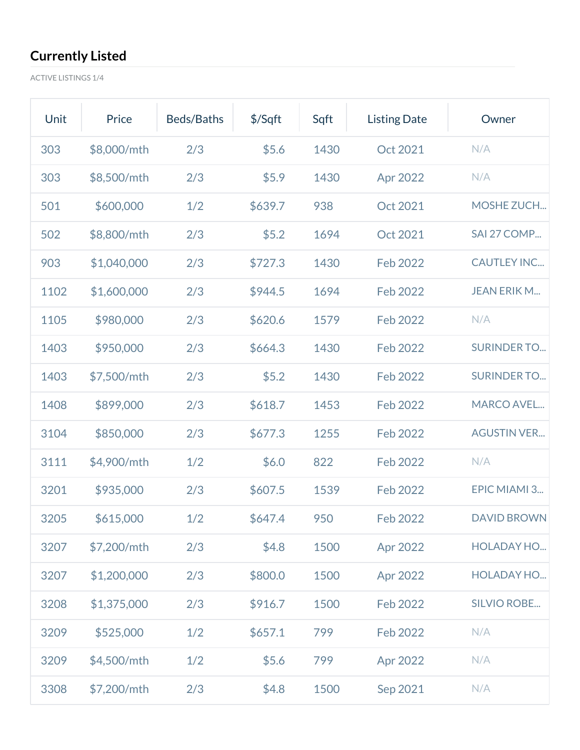ACTIVE LISTINGS 1/4

| Unit | Price       | Beds/Baths | \$/Sqft | Sqft | <b>Listing Date</b> | Owner              |
|------|-------------|------------|---------|------|---------------------|--------------------|
| 303  | \$8,000/mth | 2/3        | \$5.6   | 1430 | Oct 2021            | N/A                |
| 303  | \$8,500/mth | 2/3        | \$5.9   | 1430 | Apr 2022            | N/A                |
| 501  | \$600,000   | 1/2        | \$639.7 | 938  | Oct 2021            | MOSHE ZUCH         |
| 502  | \$8,800/mth | 2/3        | \$5.2   | 1694 | Oct 2021            | SAI 27 COMP        |
| 903  | \$1,040,000 | 2/3        | \$727.3 | 1430 | Feb 2022            | <b>CAUTLEY INC</b> |
| 1102 | \$1,600,000 | 2/3        | \$944.5 | 1694 | <b>Feb 2022</b>     | <b>JEAN ERIK M</b> |
| 1105 | \$980,000   | 2/3        | \$620.6 | 1579 | Feb 2022            | N/A                |
| 1403 | \$950,000   | 2/3        | \$664.3 | 1430 | Feb 2022            | <b>SURINDER TO</b> |
| 1403 | \$7,500/mth | 2/3        | \$5.2   | 1430 | Feb 2022            | <b>SURINDER TO</b> |
| 1408 | \$899,000   | 2/3        | \$618.7 | 1453 | Feb 2022            | <b>MARCO AVEL</b>  |
| 3104 | \$850,000   | 2/3        | \$677.3 | 1255 | Feb 2022            | <b>AGUSTIN VER</b> |
| 3111 | \$4,900/mth | 1/2        | \$6.0   | 822  | Feb 2022            | N/A                |
| 3201 | \$935,000   | 2/3        | \$607.5 | 1539 | Feb 2022            | EPIC MIAMI 3       |
| 3205 | \$615,000   | 1/2        | \$647.4 | 950  | Feb 2022            | <b>DAVID BROWN</b> |
| 3207 | \$7,200/mth | 2/3        | \$4.8\$ | 1500 | Apr 2022            | <b>HOLADAY HO</b>  |
| 3207 | \$1,200,000 | 2/3        | \$800.0 | 1500 | Apr 2022            | <b>HOLADAY HO</b>  |
| 3208 | \$1,375,000 | 2/3        | \$916.7 | 1500 | Feb 2022            | <b>SILVIO ROBE</b> |
| 3209 | \$525,000   | 1/2        | \$657.1 | 799  | Feb 2022            | N/A                |
| 3209 | \$4,500/mth | 1/2        | \$5.6   | 799  | Apr 2022            | N/A                |
| 3308 | \$7,200/mth | 2/3        | \$4.8   | 1500 | Sep 2021            | N/A                |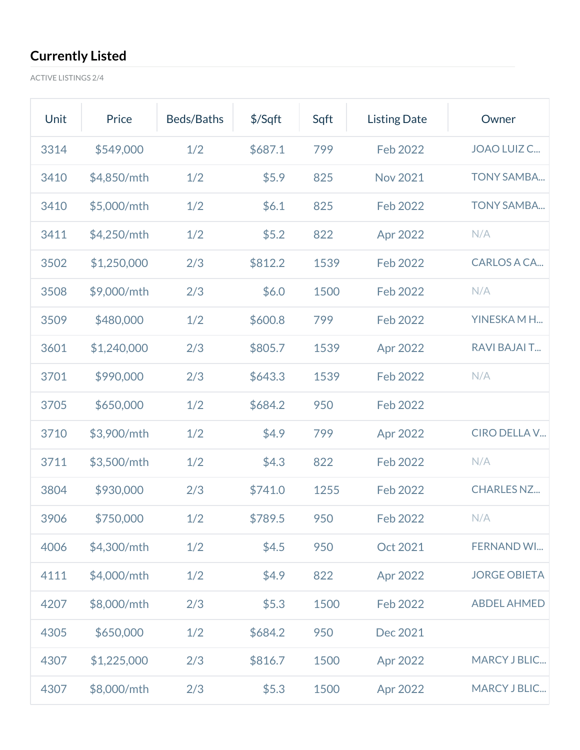ACTIVE LISTINGS 2/4

| Unit | Price       | Beds/Baths | \$/Sqft | Sqft | <b>Listing Date</b> | Owner               |
|------|-------------|------------|---------|------|---------------------|---------------------|
| 3314 | \$549,000   | 1/2        | \$687.1 | 799  | Feb 2022            | JOAO LUIZ C         |
| 3410 | \$4,850/mth | 1/2        | \$5.9   | 825  | <b>Nov 2021</b>     | <b>TONY SAMBA</b>   |
| 3410 | \$5,000/mth | 1/2        | \$6.1   | 825  | Feb 2022            | <b>TONY SAMBA</b>   |
| 3411 | \$4,250/mth | 1/2        | \$5.2   | 822  | Apr 2022            | N/A                 |
| 3502 | \$1,250,000 | 2/3        | \$812.2 | 1539 | Feb 2022            | <b>CARLOS A CA</b>  |
| 3508 | \$9,000/mth | 2/3        | \$6.0   | 1500 | Feb 2022            | N/A                 |
| 3509 | \$480,000   | 1/2        | \$600.8 | 799  | Feb 2022            | YINESKAMH           |
| 3601 | \$1,240,000 | 2/3        | \$805.7 | 1539 | Apr 2022            | <b>RAVI BAJAI T</b> |
| 3701 | \$990,000   | 2/3        | \$643.3 | 1539 | Feb 2022            | N/A                 |
| 3705 | \$650,000   | 1/2        | \$684.2 | 950  | Feb 2022            |                     |
| 3710 | \$3,900/mth | 1/2        | \$4.9   | 799  | Apr 2022            | <b>CIRO DELLA V</b> |
| 3711 | \$3,500/mth | 1/2        | \$4.3   | 822  | Feb 2022            | N/A                 |
| 3804 | \$930,000   | 2/3        | \$741.0 | 1255 | Feb 2022            | <b>CHARLES NZ</b>   |
| 3906 | \$750,000   | 1/2        | \$789.5 | 950  | Feb 2022            | N/A                 |
| 4006 | \$4,300/mth | 1/2        | \$4.5   | 950  | Oct 2021            | <b>FERNAND WI</b>   |
| 4111 | \$4,000/mth | 1/2        | \$4.9   | 822  | Apr 2022            | <b>JORGE OBIETA</b> |
| 4207 | \$8,000/mth | 2/3        | \$5.3   | 1500 | Feb 2022            | <b>ABDEL AHMED</b>  |
| 4305 | \$650,000   | 1/2        | \$684.2 | 950  | Dec 2021            |                     |
| 4307 | \$1,225,000 | 2/3        | \$816.7 | 1500 | Apr 2022            | <b>MARCY J BLIC</b> |
| 4307 | \$8,000/mth | 2/3        | \$5.3   | 1500 | Apr 2022            | <b>MARCY J BLIC</b> |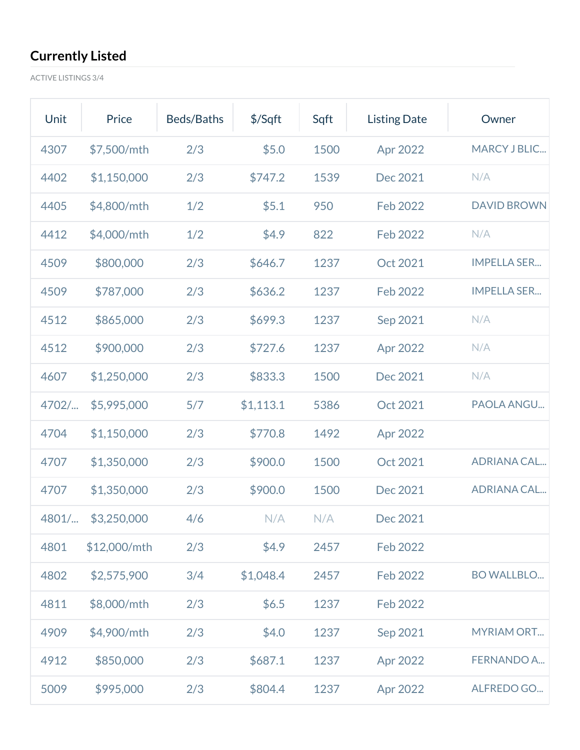ACTIVE LISTINGS 3/4

| Unit  | Price        | Beds/Baths | $$$ /Sqft | Sqft | <b>Listing Date</b> | Owner              |
|-------|--------------|------------|-----------|------|---------------------|--------------------|
| 4307  | \$7,500/mth  | 2/3        | \$5.0     | 1500 | Apr 2022            | MARCY J BLIC       |
| 4402  | \$1,150,000  | 2/3        | \$747.2   | 1539 | Dec 2021            | N/A                |
| 4405  | \$4,800/mth  | 1/2        | \$5.1     | 950  | Feb 2022            | <b>DAVID BROWN</b> |
| 4412  | \$4,000/mth  | 1/2        | \$4.9     | 822  | Feb 2022            | N/A                |
| 4509  | \$800,000    | 2/3        | \$646.7   | 1237 | Oct 2021            | <b>IMPELLA SER</b> |
| 4509  | \$787,000    | 2/3        | \$636.2   | 1237 | Feb 2022            | <b>IMPELLA SER</b> |
| 4512  | \$865,000    | 2/3        | \$699.3   | 1237 | Sep 2021            | N/A                |
| 4512  | \$900,000    | 2/3        | \$727.6   | 1237 | Apr 2022            | N/A                |
| 4607  | \$1,250,000  | 2/3        | \$833.3   | 1500 | Dec 2021            | N/A                |
| 4702/ | \$5,995,000  | 5/7        | \$1,113.1 | 5386 | Oct 2021            | PAOLA ANGU         |
| 4704  | \$1,150,000  | 2/3        | \$770.8   | 1492 | Apr 2022            |                    |
| 4707  | \$1,350,000  | 2/3        | \$900.0   | 1500 | Oct 2021            | <b>ADRIANA CAL</b> |
| 4707  | \$1,350,000  | 2/3        | \$900.0   | 1500 | Dec 2021            | <b>ADRIANA CAL</b> |
| 4801/ | \$3,250,000  | 4/6        | N/A       | N/A  | Dec 2021            |                    |
| 4801  | \$12,000/mth | 2/3        | \$4.9     | 2457 | Feb 2022            |                    |
| 4802  | \$2,575,900  | 3/4        | \$1,048.4 | 2457 | Feb 2022            | <b>BO WALLBLO</b>  |
| 4811  | \$8,000/mth  | 2/3        | \$6.5     | 1237 | Feb 2022            |                    |
| 4909  | \$4,900/mth  | 2/3        | \$4.0     | 1237 | Sep 2021            | <b>MYRIAM ORT</b>  |
| 4912  | \$850,000    | 2/3        | \$687.1   | 1237 | Apr 2022            | <b>FERNANDO A</b>  |
| 5009  | \$995,000    | 2/3        | \$804.4   | 1237 | Apr 2022            | ALFREDO GO         |